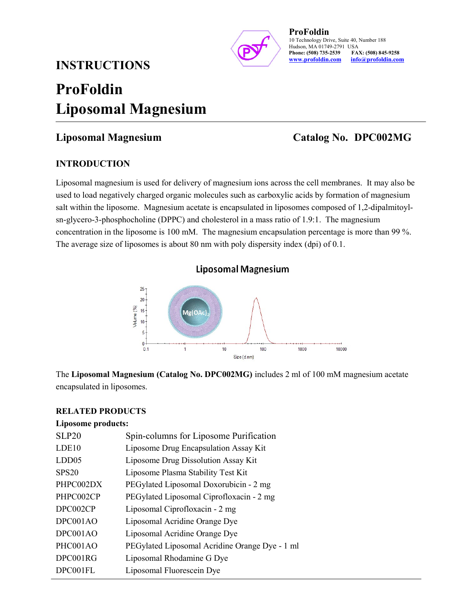# INSTRUCTIONS



ProFoldin 10 Technology Drive, Suite 40, Number 188 Hudson, MA 01749-2791 USA<br>Phone: (508) 735-2539 FA. FAX: (508) 845-9258 www.profoldin.com info@profoldin.com

# ProFoldin Liposomal Magnesium

## Liposomal Magnesium Catalog No. DPC002MG

### INTRODUCTION

Liposomal magnesium is used for delivery of magnesium ions across the cell membranes. It may also be used to load negatively charged organic molecules such as carboxylic acids by formation of magnesium salt within the liposome. Magnesium acetate is encapsulated in liposomes composed of 1,2-dipalmitoylsn-glycero-3-phosphocholine (DPPC) and cholesterol in a mass ratio of 1.9:1. The magnesium concentration in the liposome is 100 mM. The magnesium encapsulation percentage is more than 99 %. The average size of liposomes is about 80 nm with poly dispersity index (dpi) of 0.1.



The Liposomal Magnesium (Catalog No. DPC002MG) includes 2 ml of 100 mM magnesium acetate encapsulated in liposomes.

### RELATED PRODUCTS

#### Liposome products:

| <b>SLP20</b>      | Spin-columns for Liposome Purification         |
|-------------------|------------------------------------------------|
| LDE10             | Liposome Drug Encapsulation Assay Kit          |
| LDD <sub>05</sub> | Liposome Drug Dissolution Assay Kit            |
| <b>SPS20</b>      | Liposome Plasma Stability Test Kit             |
| PHPC002DX         | PEGylated Liposomal Doxorubicin - 2 mg         |
| PHPC002CP         | PEGylated Liposomal Ciprofloxacin - 2 mg       |
| DPC002CP          | Liposomal Ciprofloxacin - 2 mg                 |
| DPC001AO          | Liposomal Acridine Orange Dye                  |
| DPC001AO          | Liposomal Acridine Orange Dye                  |
| PHC001AO          | PEGylated Liposomal Acridine Orange Dye - 1 ml |
| DPC001RG          | Liposomal Rhodamine G Dye                      |
| DPC001FL          | Liposomal Fluorescein Dye                      |
|                   |                                                |